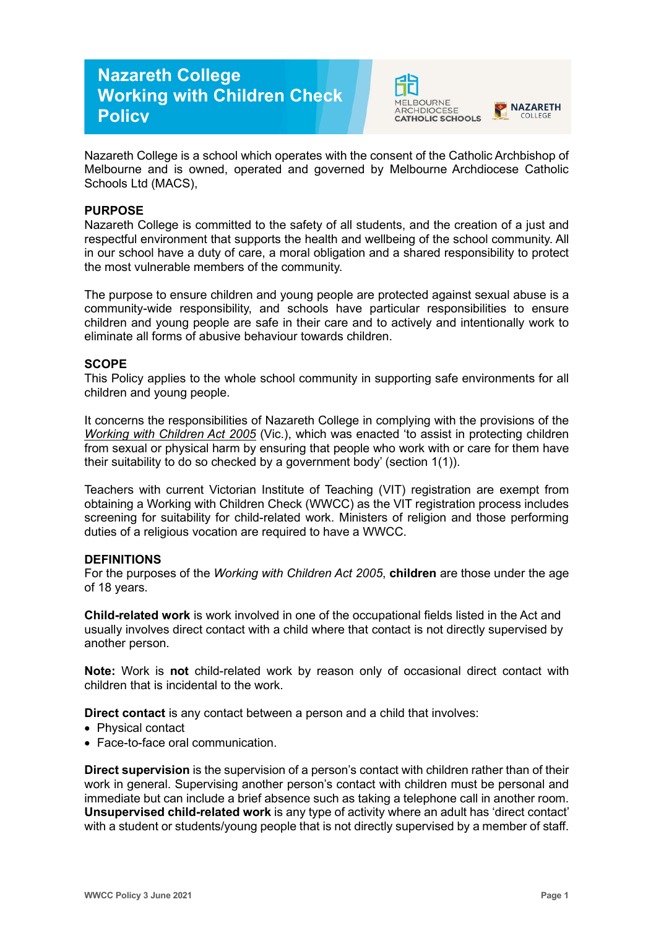# **Nazareth College Working with Children Check Policy**





Nazareth College is a school which operates with the consent of the Catholic Archbishop of Melbourne and is owned, operated and governed by Melbourne Archdiocese Catholic Schools Ltd (MACS),

## **PURPOSE**

Nazareth College is committed to the safety of all students, and the creation of a just and respectful environment that supports the health and wellbeing of the school community. All in our school have a duty of care, a moral obligation and a shared responsibility to protect the most vulnerable members of the community.

The purpose to ensure children and young people are protected against sexual abuse is a community-wide responsibility, and schools have particular responsibilities to ensure children and young people are safe in their care and to actively and intentionally work to eliminate all forms of abusive behaviour towards children.

## **SCOPE**

This Policy applies to the whole school community in supporting safe environments for all children and young people.

It concerns the responsibilities of Nazareth College in complying with the provisions of the *[Working with Children Act 2005](https://www.legislation.vic.gov.au/as-made/acts/working-children-act-2005)* (Vic.), which was enacted 'to assist in protecting children from sexual or physical harm by ensuring that people who work with or care for them have their suitability to do so checked by a government body' (section 1(1)).

Teachers with current Victorian Institute of Teaching (VIT) registration are exempt from obtaining a Working with Children Check (WWCC) as the VIT registration process includes screening for suitability for child-related work. Ministers of religion and those performing duties of a religious vocation are required to have a WWCC.

#### **DEFINITIONS**

For the purposes of the *Working with Children Act 2005*, **children** are those under the age of 18 years.

**Child-related work** is work involved in one of the occupational fields listed in the Act and usually involves direct contact with a child where that contact is not directly supervised by another person.

**Note:** Work is **not** child-related work by reason only of occasional direct contact with children that is incidental to the work.

**Direct contact** is any contact between a person and a child that involves:

- Physical contact
- Face-to-face oral communication.

**Direct supervision** is the supervision of a person's contact with children rather than of their work in general. Supervising another person's contact with children must be personal and immediate but can include a brief absence such as taking a telephone call in another room. **Unsupervised child-related work** is any type of activity where an adult has 'direct contact' with a student or students/young people that is not directly supervised by a member of staff.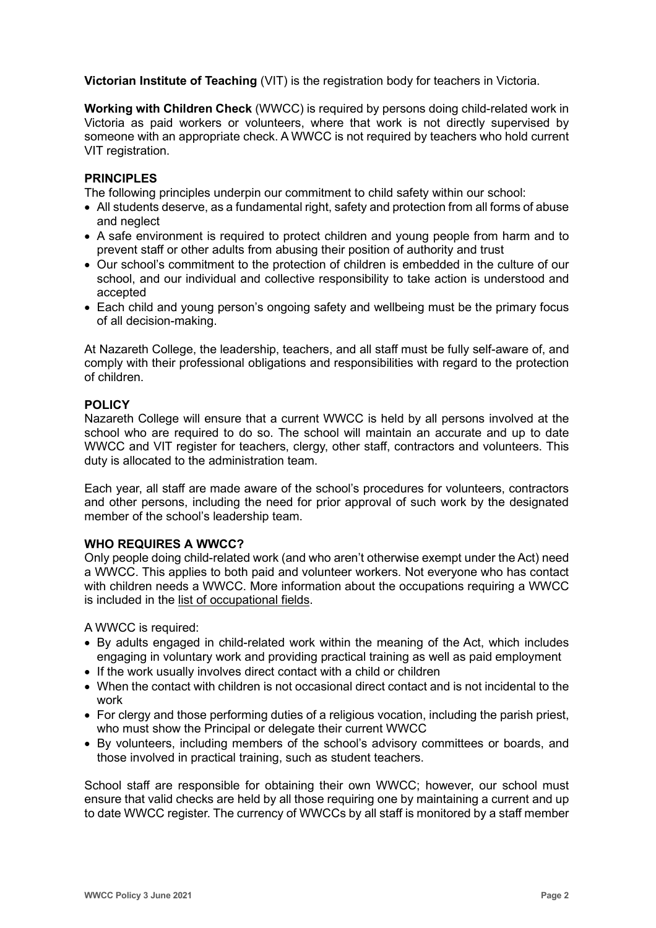**Victorian Institute of Teaching** (VIT) is the registration body for teachers in Victoria.

**Working with Children Check** (WWCC) is required by persons doing child-related work in Victoria as paid workers or volunteers, where that work is not directly supervised by someone with an appropriate check. A WWCC is not required by teachers who hold current VIT registration.

## **PRINCIPLES**

The following principles underpin our commitment to child safety within our school:

- All students deserve, as a fundamental right, safety and protection from all forms of abuse and neglect
- A safe environment is required to protect children and young people from harm and to prevent staff or other adults from abusing their position of authority and trust
- Our school's commitment to the protection of children is embedded in the culture of our school, and our individual and collective responsibility to take action is understood and accepted
- Each child and young person's ongoing safety and wellbeing must be the primary focus of all decision-making.

At Nazareth College, the leadership, teachers, and all staff must be fully self-aware of, and comply with their professional obligations and responsibilities with regard to the protection of children.

#### **POLICY**

Nazareth College will ensure that a current WWCC is held by all persons involved at the school who are required to do so. The school will maintain an accurate and up to date WWCC and VIT register for teachers, clergy, other staff, contractors and volunteers. This duty is allocated to the administration team.

Each year, all staff are made aware of the school's procedures for volunteers, contractors and other persons, including the need for prior approval of such work by the designated member of the school's leadership team.

#### **WHO REQUIRES A WWCC?**

Only people doing child-related work (and who aren't otherwise exempt under the Act) need a WWCC. This applies to both paid and volunteer workers. Not everyone who has contact with children needs a WWCC. More information about the occupations requiring a WWCC is included in the [list of occupational fields.](https://www.workingwithchildren.vic.gov.au/about-the-check/resources/list-of-occupational-fields)

A WWCC is required:

- By adults engaged in child-related work within the meaning of the Act, which includes engaging in voluntary work and providing practical training as well as paid employment
- If the work usually involves direct contact with a child or children
- When the contact with children is not occasional direct contact and is not incidental to the work
- For clergy and those performing duties of a religious vocation, including the parish priest, who must show the Principal or delegate their current WWCC
- By volunteers, including members of the school's advisory committees or boards, and those involved in practical training, such as student teachers.

School staff are responsible for obtaining their own WWCC; however, our school must ensure that valid checks are held by all those requiring one by maintaining a current and up to date WWCC register. The currency of WWCCs by all staff is monitored by a staff member